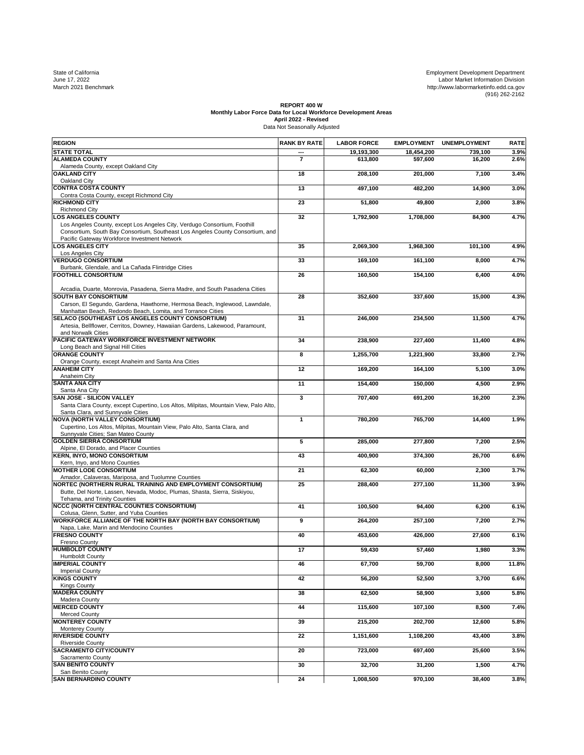State of California Development Development Development Development Development Development Department<br>June 17, 2022 Labor Market Information Division<br>March 2021 Benchmark http://www.labormarketinfo.edd.ca.gov<br>(916) 262-21

## REPORT 400 W<br>Monthly Labor Force Data for Local Workforce Development Areas<br>April 2022 - Revised<br>Data Not Seasonally Adjusted

| <b>REGION</b>                                                                                                                                                                                               | <b>RANK BY RATE</b> | <b>LABOR FORCE</b> | <b>EMPLOYMENT</b> | <b>UNEMPLOYMENT</b> | <b>RATE</b> |
|-------------------------------------------------------------------------------------------------------------------------------------------------------------------------------------------------------------|---------------------|--------------------|-------------------|---------------------|-------------|
| <b>STATE TOTAL</b>                                                                                                                                                                                          |                     | 19,193,300         | 18,454,200        | 739,100             | 3.9%        |
| <b>ALAMEDA COUNTY</b><br>Alameda County, except Oakland City                                                                                                                                                | $\overline{7}$      | 613,800            | 597,600           | 16,200              | 2.6%        |
| <b>OAKLAND CITY</b>                                                                                                                                                                                         | 18                  | 208,100            | 201,000           | 7,100               | 3.4%        |
| Oakland City<br><b>CONTRA COSTA COUNTY</b>                                                                                                                                                                  | 13                  | 497,100            | 482,200           | 14,900              | 3.0%        |
| Contra Costa County, except Richmond City                                                                                                                                                                   |                     |                    |                   |                     |             |
| <b>RICHMOND CITY</b><br><b>Richmond City</b>                                                                                                                                                                | 23                  | 51,800             | 49,800            | 2,000               | 3.8%        |
| <b>LOS ANGELES COUNTY</b>                                                                                                                                                                                   | 32                  | 1,792,900          | 1,708,000         | 84,900              | 4.7%        |
| Los Angeles County, except Los Angeles City, Verdugo Consortium, Foothill<br>Consortium, South Bay Consortium, Southeast Los Angeles County Consortium, and<br>Pacific Gateway Workforce Investment Network |                     |                    |                   |                     |             |
| <b>OS ANGELES CITY</b>                                                                                                                                                                                      | 35                  | 2,069,300          | 1,968,300         | 101.100             | 4.9%        |
| Los Angeles City<br><b>VERDUGO CONSORTIUM</b>                                                                                                                                                               | 33                  | 169,100            | 161,100           | 8,000               | 4.7%        |
| Burbank, Glendale, and La Cañada Flintridge Cities                                                                                                                                                          |                     |                    |                   |                     |             |
| <b>FOOTHILL CONSORTIUM</b>                                                                                                                                                                                  | 26                  | 160,500            | 154,100           | 6,400               | 4.0%        |
| Arcadia, Duarte, Monrovia, Pasadena, Sierra Madre, and South Pasadena Cities                                                                                                                                |                     |                    |                   |                     |             |
| <b>SOUTH BAY CONSORTIUM</b><br>Carson, El Segundo, Gardena, Hawthorne, Hermosa Beach, Inglewood, Lawndale,                                                                                                  | 28                  | 352,600            | 337,600           | 15,000              | 4.3%        |
| Manhattan Beach, Redondo Beach, Lomita, and Torrance Cities                                                                                                                                                 |                     |                    |                   |                     |             |
| SELACO (SOUTHEAST LOS ANGELES COUNTY CONSORTIUM)<br>Artesia, Bellflower, Cerritos, Downey, Hawaiian Gardens, Lakewood, Paramount,                                                                           | 31                  | 246,000            | 234,500           | 11,500              | 4.7%        |
| and Norwalk Cities                                                                                                                                                                                          |                     |                    |                   |                     |             |
| PACIFIC GATEWAY WORKFORCE INVESTMENT NETWORK<br>Long Beach and Signal Hill Cities                                                                                                                           | 34                  | 238,900            | 227,400           | 11,400              | 4.8%        |
| <b>ORANGE COUNTY</b>                                                                                                                                                                                        | 8                   | 1,255,700          | 1,221,900         | 33,800              | 2.7%        |
| Orange County, except Anaheim and Santa Ana Cities<br><b>ANAHEIM CITY</b>                                                                                                                                   | 12                  | 169,200            | 164.100           | 5,100               | 3.0%        |
| Anaheim City<br><b>SANTA ANA CITY</b>                                                                                                                                                                       | 11                  |                    | 150.000           |                     |             |
| Santa Ana City                                                                                                                                                                                              |                     | 154,400            |                   | 4,500               | 2.9%        |
| SAN JOSE - SILICON VALLEY<br>Santa Clara County, except Cupertino, Los Altos, Milpitas, Mountain View, Palo Alto,<br>Santa Clara, and Sunnyvale Cities                                                      | 3                   | 707,400            | 691,200           | 16,200              | 2.3%        |
| <b>NOVA (NORTH VALLEY CONSORTIUM)</b>                                                                                                                                                                       | $\mathbf{1}$        | 780,200            | 765,700           | 14,400              | 1.9%        |
| Cupertino, Los Altos, Milpitas, Mountain View, Palo Alto, Santa Clara, and<br>Sunnyvale Cities; San Mateo County                                                                                            |                     |                    |                   |                     |             |
| <b>GOLDEN SIERRA CONSORTIUM</b>                                                                                                                                                                             | 5                   | 285,000            | 277,800           | 7,200               | 2.5%        |
| Alpine, El Dorado, and Placer Counties<br>KERN, INYO, MONO CONSORTIUM                                                                                                                                       | 43                  | 400,900            | 374,300           | 26,700              | 6.6%        |
| Kern, Inyo, and Mono Counties<br><b>MOTHER LODE CONSORTIUM</b>                                                                                                                                              | 21                  |                    | 60,000            |                     |             |
| Amador, Calaveras, Mariposa, and Tuolumne Counties                                                                                                                                                          |                     | 62,300             |                   | 2,300               | 3.7%        |
| NORTEC (NORTHERN RURAL TRAINING AND EMPLOYMENT CONSORTIUM)<br>Butte, Del Norte, Lassen, Nevada, Modoc, Plumas, Shasta, Sierra, Siskiyou,<br>Tehama, and Trinity Counties                                    | 25                  | 288,400            | 277,100           | 11,300              | 3.9%        |
| NCCC (NORTH CENTRAL COUNTIES CONSORTIUM)                                                                                                                                                                    | 41                  | 100,500            | 94,400            | 6,200               | 6.1%        |
| Colusa, Glenn, Sutter, and Yuba Counties<br><b>WORKFORCE ALLIANCE OF THE NORTH BAY (NORTH BAY CONSORTIUM)</b>                                                                                               | 9                   | 264,200            | 257,100           | 7,200               | 2.7%        |
| Napa, Lake, Marin and Mendocino Counties                                                                                                                                                                    |                     |                    |                   |                     |             |
| <b>FRESNO COUNTY</b><br><b>Fresno County</b>                                                                                                                                                                | 40                  | 453,600            | 426.000           | 27,600              | 6.1%        |
| <b>HUMBOLDT COUNTY</b>                                                                                                                                                                                      | 17                  | 59,430             | 57,460            | 1,980               | 3.3%        |
| Humboldt County<br><b>IMPERIAL COUNTY</b>                                                                                                                                                                   | 46                  | 67,700             | 59,700            | 8,000               | 11.8%       |
| <b>Imperial County</b><br><b>KINGS COUNTY</b>                                                                                                                                                               | 42                  | 56,200             | 52,500            | 3,700               | 6.6%        |
| <b>Kings County</b>                                                                                                                                                                                         |                     |                    |                   |                     |             |
| <b>MADERA COUNTY</b><br>Madera County                                                                                                                                                                       | 38                  | 62,500             | 58,900            | 3,600               | 5.8%        |
| <b>MERCED COUNTY</b>                                                                                                                                                                                        | 44                  | 115,600            | 107,100           | 8,500               | 7.4%        |
| Merced County<br><b>MONTEREY COUNTY</b>                                                                                                                                                                     | 39                  | 215,200            | 202,700           | 12,600              | 5.8%        |
| Monterey County<br><b>RIVERSIDE COUNTY</b>                                                                                                                                                                  | 22                  | 1,151,600          | 1,108,200         | 43,400              | 3.8%        |
| <b>Riverside County</b>                                                                                                                                                                                     |                     |                    |                   |                     |             |
| <b>SACRAMENTO CITY/COUNTY</b><br>Sacramento County                                                                                                                                                          | 20                  | 723,000            | 697,400           | 25,600              | 3.5%        |
| <b>SAN BENITO COUNTY</b><br>San Benito County                                                                                                                                                               | 30                  | 32,700             | 31,200            | 1,500               | 4.7%        |
| <b>SAN BERNARDINO COUNTY</b>                                                                                                                                                                                | 24                  | 1,008,500          | 970,100           | 38,400              | 3.8%        |